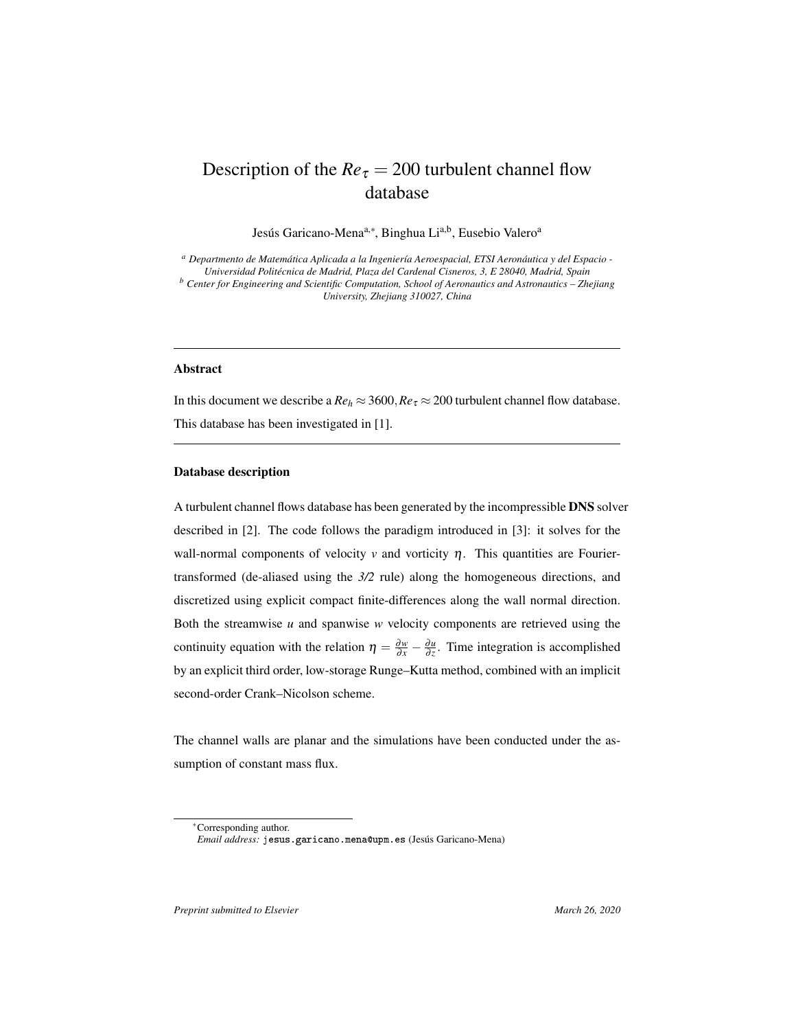## Description of the  $Re_\tau = 200$  turbulent channel flow database

Jesús Garicano-Mena<sup>a,∗</sup>, Binghua Li<sup>a,b</sup>, Eusebio Valero<sup>a</sup>

*<sup>a</sup> Departmento de Matemática Aplicada a la Ingeniería Aeroespacial, ETSI Aeronáutica y del Espacio - Universidad Politécnica de Madrid, Plaza del Cardenal Cisneros, 3, E 28040, Madrid, Spain <sup>b</sup> Center for Engineering and Scientific Computation, School of Aeronautics and Astronautics – Zhejiang University, Zhejiang 310027, China*

## Abstract

In this document we describe a  $Re_h \approx 3600$ ,  $Re_\tau \approx 200$  turbulent channel flow database. This database has been investigated in [1].

## Database description

A turbulent channel flows database has been generated by the incompressible DNS solver described in [2]. The code follows the paradigm introduced in [3]: it solves for the wall-normal components of velocity  $\nu$  and vorticity  $\eta$ . This quantities are Fouriertransformed (de-aliased using the *3/2* rule) along the homogeneous directions, and discretized using explicit compact finite-differences along the wall normal direction. Both the streamwise *u* and spanwise *w* velocity components are retrieved using the continuity equation with the relation  $\eta = \frac{\partial w}{\partial x} - \frac{\partial u}{\partial z}$ . Time integration is accomplished by an explicit third order, low-storage Runge–Kutta method, combined with an implicit second-order Crank–Nicolson scheme.

The channel walls are planar and the simulations have been conducted under the assumption of constant mass flux.

*Preprint submitted to Elsevier* March 26, 2020

<sup>∗</sup>Corresponding author.

*Email address:* jesus.garicano.mena@upm.es (Jesús Garicano-Mena)